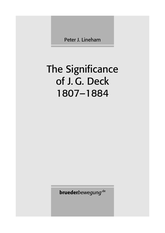Peter J. Lineham

## The Significance of J. G. Deck 1807–1884

**brueder***bewegung*.de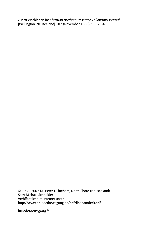Zuerst erschienen in: *Christian Brethren Research Fellowship Journal*  [Wellington, Neuseeland] 107 (November 1986), S. 13–34.

© 1986, 2007 Dr. Peter J. Lineham, North Shore (Neuseeland) Satz: Michael Schneider Veröffentlicht im Internet unter http://www.bruederbewegung.de/pdf/linehamdeck.pdf

**brueder***bewegung*.de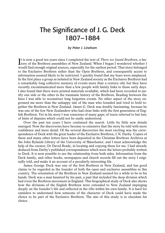## The Significance of J. G. Deck 1807–1884

## *by Peter J. Lineham*

It is now a good ten years since I completed the text of *There we found Brethren*, a his-<br>I tory of the Brethren assemblies of New Zealand. When I began I wondered whether I tory of the Brethren assemblies of New Zealand. When I began I wondered whether I would find enough original sources, especially for the earliest period. That story belonged to the Exclusive Brethren rather than the Open Brethren, and consequently access to information seemed likely to be restricted. I quickly found that my fears were misplaced. In the first place a group as isolated in New Zealand society as the Exclusive Brethren had a remarkably long collective memory of events more than a century old, but they have recently excommunicated more than a few people with family links to those early days. I also found that there were printed materials available, which had been recorded to justify one side or the other in the traumatic history of the Brethren. Reading between the lines I was able to reconstruct long forgotten events. No other aspect of the story engrossed me more than the unhappy tale of the man who founded and tried to hold together the Brethren in New Zealand. James G. Deck was doubly fascinating, because he was one of the few New Zealanders who had close links with the first generation of English Brethren. Yet in his story I was conscious of many gaps; of tracts referred to but lost; of hints of disputes which could not be easily understood.

Over the past ten years I have continued the search. Little by little new details emerged. Now the discoveries have become so extensive that the story be told with more confidence and more detail. Of the several discoveries the most exciting was the correspondence of Deck with the great leader of the Exclusive Brethren, J.N. Darby. Copies of these and many other letters have been deposited in the Christian Brethren Archives at the John Rylands Library of the University of Manchester, and I must acknowledge the help of the curator, Dr David Brady, in locating and copying these for me. I had already deduced from Darby's published correspondence which were the letters probably written to Deck. It is now possible to see the relationship from both sides. Information from the Deck family, and other books, newspapers and church records fill out the story I originally told, and make it an account of a peculiarly interesting life.

James George Deck was one of the first Brethren in New Zealand, and has good claims to be regarded as the founder of both the open and exclusive assemblies in this country. The orientation of the Brethren in New Zealand seemed for a while to be in his hands. Deck was a man haunted by his past, a past that included the deep division which had riven the Brethren movement in England. This biographical study of Deck also shows how the divisions of the English Brethren were extended to New Zealand impinging deeply on the founder's life and reflected in the rifts within his own family. It is hard for outsiders to understand how someone of the character of Deck could have made the choice to be part of the Exclusive Brethren. The aim of this study is to elucidate his choice.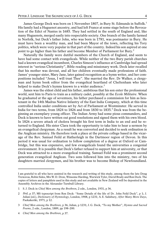James George Deck was born on 1 November 1807, in Bury St. Edmunds in Suffolk.<sup>1</sup> His family had a Huguenot ancestry, and had left France at some stage before the Revocation of the Edict of Nantes in 1685. They had settled in the south of England and, like many Huguenots, merged easily into respectable society. One branch of the family farmed in Norfolk, but Deck's father John, who was born in 1781, was postmaster in Bury. He must have been a wealthy man, and had been Mayor of the town, reflecting his Tory politics, which were very popular in that part of the country. Indeed his son aspired at one point to go higher than his father and become Member of Parliament for Bury.<sup>2</sup>

Naturally the family were dutiful members of the Church of England, and seem to have had some contact with evangelicals. While neither of the two Bury parish churches had a known evangelical incumbent, Charles Simeon's influence at Cambridge had spread interest in "serious Christianity", Bible reading and missionary work. Deck later recalled that his mother was devout, and all her children eventually made professions of faith. James' younger sister, Mary Jane, later gained recognition as a hymn writer, and her compositions included "Jesus, I will trust Thee". She married the Rev. Dr Walker, a clergyman and hymn book editor from the evangelical heartland of Cheltenham who later helped to make Deck's hymns known to a wider audience.<sup>3</sup>

James was the eldest child and his father, ambitious that his son enter the professional world, sent him to Paris to train as a military cadet, possibly at the *Ecole Militaire*. When he graduated at the age of seventeen, his father purchased a commission for him as lieutenant in the 14th Madras Native Infantry of the East India Company, which at this time controlled India under conditions set by Act of Parliament at Westminster. He served in India for two terms, from 1824 to 1826 and from 1830 to 1835.<sup>4</sup> Deck was from the beginning an exemplary young officer. The Indian Army had some pious commanders, and Deck is known to have written out good resolutions and signed them with his own blood. In 1826 a severe attack of cholera brought his first term in India to an end and he returned to England. His sister Clara took the opportunity to take him to hear a sermon by an evangelical clergyman. As a result he was converted and decided to seek ordination in the Anglican ministry. He therefore took a place at the private college based in the vicarage of the Rev. Samuel Feild at Hatherleigh in the Dartmoor region of Devon. In this period it was usual for ordination to follow completion of a degree at Oxford or Cambridge, but this was expensive, and few evangelicals found the universities a congenial environment. It is possible that Deck's father refused to support him at university, or that Deck was attracted to a more evangelical training. Samuel Feild was a prominent second generation evangelical Anglican. Two sons followed him into the ministry, two of his daughters married clergymen, and his brother was to become Bishop of Newfoundland.

I am grateful to all who have assisted in the research and writing of this study, among them the late Doug Trewavas, Robin Sides, Mrs W.D. Dron, Winsome Harding, Warwick Tyler, David Brady and Ron Deck. The copies of letters and pamphlets used in this study and not available in New Zealand will be deposited in the Assembly Archives in the Alexander Turnbull Library.

<sup>1</sup> S. J. Deck in *Chief Men among the Brethren*, 2 edn., London, 1931, p 36.

<sup>2</sup> *Ibid*, p 37; MS typescript from Ron Deck: "Some Details of the life of Dr. John Feild Deck", p 1; J. Julian (ed.), *Dictionary of Hymnology*, London, 1908, p 1231; A. E. Salisbury, *After Many More Days*, Paekakeriki, 1971, p 12.

<sup>3</sup> *Chief Men among the Brethren*, p 36; Julian, p 1231; J. G. Deck, "To my Mother", *Hymns and Sacred Poems*, 2 edn., London, 1889, pp 198–200.

<sup>4</sup> *Chief Men among the Brethren*, p 37.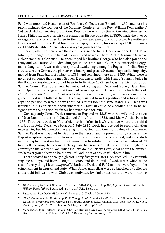Feild was appointed Headmaster of Westbury College, near Bristol, in 1830, and here his pupils included the founder of the Mildmay Conference, the Rev. William Pennefather.<sup>5</sup> Yet Deck did not receive ordination. Possibly he was a victim of the vindictiveness of Henry Philpotts, who after his consecration as Bishop of Exeter in 1830, made the lives of evangelicals and low churchmen in the diocese extremely uncomfortable. Nevertheless Deck's residence in the Feild home had a happy outcome, for on 22 April 1829 he married Feild's daughter Alicia, who was a year younger than him.

Shortly after their marriage the couple returned to India. Deck joined the 15th Native Infantry at Bangalore, and he and his wife lived nearby. There Deck determined to make a clear stand as a Christian. He encouraged his brother George who had also joined the army and was stationed at Ahmednugger, in the same stand. George too married a clergyman's daughter.<sup>6</sup> It was a time of spiritual awakening among the English in India. Henry [= Anthony Norris] Groves, the pioneer missionary and great advocate of apostolic simplicity, moved from Baghdad to Bombay in 1833, and remained there until 1835. While there is no direct evidence that he met Groves, Deck was friendly with Henry Young, a judge in the Bombay Residency who had been in India since 1822, and was the third son of Sir Samuel Young. The subsequent behaviour of Young and Deck and Young's later links with Open Brethren suggest that they had been inspired by Groves' call in his little book *Christian Devotedness* for Christians to abandon worldly security and thus experience the grace of God in its fullness. In 1834 Young resigned from his position and refused to accept the pension to which he was entitled. Others took the same stand. J. G. Deck was troubled in his conscience about whether a Christian could be a soldier, and so he resigned from the position his father had purchased for him.<sup>7</sup>

Consequently James Deck returned to England in 1835 with his wife and the two children born to them in India, Samuel John, born in 1832, and Mary Alicia, born in 1833. They went back to Hatherleigh to his father-in-law's vicarage where their third child, John Feild Deck, was born on 5 July 1835. Deck had decided to seek ordination once again, but his intentions were again thwarted, this time by qualms of conscience. Samuel Feild was troubled by Baptists in the parish, and he pre-emptorily dismissed the Baptist scriptural arguments. His son-in-law now took nothing for granted, and as he studied the Baptist literature he did not know how to refute it. To his wife he confessed: "I have left the army to become a clergyman, but now see that the church of England is contrary to the Word of God; what shall we do?" Alicia was very clear about the answer. "Whatever you believe to be the will of God, do it at any cost", she told him.

There proved to be a very high cost. Forty-five years later Deck recalled: "If ever with singleness of eye and heart I sought to know and do the will of God, it was when at the cost of every thing I learnt *baptism*".<sup>8</sup> Both the Deck and Feild families were loyal to the establishment in church and state. When James and Alicia were re-baptised as believers and sought fellowship with Christians motivated by similar desires, they were forsaking

<sup>5</sup> *Dictionary of National Biography*, London, 1882–1903, vol xviii, p 286; *Life and Letters of the Rev. William Pennefather*, 4 edn., n. d., pp 4–11; J. Feild Deck, p 1.

<sup>6</sup> Eastbourne: Ron Deck: MS Letter, G. Deck to J. G. Deck, 27 June 1830.

<sup>7</sup> *Chief Men among the Brethren*, p 37; F. Young, *Pearls from the Pacific*, London & Edinburgh, n. d., pp 12–13; *In Memoriam: Emily Baring Deck*, South Seas Evangelical Mission, 1915, pp 3–4; H.H. Rowdon, *The Origins of the Brethren*, London & Glasgow, 1967, pp 195–7.

<sup>8</sup> Manchester: John Rylands Library, Christian Brethren Archives (hereinafter CBA) 5540 (380), J. G. Deck to J. N. Darby, 15 May 1881; *Chief Men among the Brethren*, p 37.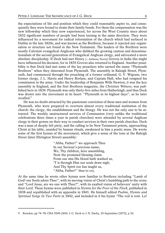the expectations of life and position which they could reasonably aspire to, and consequently they were bound to strain their family bonds. For them the compensation was the new fellowship which they now experienced, for across the West Country since about 1832 significant numbers of people had been turning in the same direction. They were influenced by a movement for radical reformation of the church which had surfaced in Dublin in the late 1820s, and was known as the Brethren, because it rejected any organisation or structure not found in the New Testament. The leaders of the Brethren were mostly Calvinist evangelical Anglicans who disliked the growing caution and denominationalism of the second generation of Evangelical Anglican clergy, and advocated a more absolute discipleship. If Deck had met Henry [= Anthony Norris] Groves in India this might have influenced his decision, for in 1835 Groves also returned to England. Another possibility is that Deck had met some of the lay preachers who earned the name "Plymouth Brethren" when they itinerated from Plymouth. The assembly in Raleigh Street, Plymouth, had commenced through the preaching of a former ordinand, G. V. Wigram, two former clergy, J. L. Harris and Henry Borlase, and Captain Hall, who had resigned his commission in the army. Under the leadership of Benjamin Wills Newton, it was the key assembly in England, and the first Brethren magazine, the *Christian Witness*, was published here in 1834. Plymouth was only thirty-five miles from Hatherleigh, and thus Deck was drawn into the movement at its heart: "Plymouth in its highest days", as he later recalled.<sup>9</sup>

He was no doubt attracted by the passionate conviction of these men and women from Plymouth, who were prepared to overturn almost every traditional institution of the church: the clergy, the establishment and the liturgy. He was not the only one to be attracted. The weekly unstructured services of Communion (very unlike the traditional celebrations three times a year in parish churches) were attended by several Anglican clergy in their gowns on their way to conduct services in their own parish churches. Deck was a man of deeply felt piety, and the calling to be New Testament priests, approaching Christ at his table, unaided by human rituals, awakened in him a poetic muse. He wrote some of the first hymns of the movement, which give a sense of the tone at the Raleigh Street (later Ebrington Street) assembly:

> "Abba, Father!" we approach Thee In our Saviour's precious name; We, Thy children, here assembling, Now the promised blessing claim. From our sins His blood hath washed us, 'T is through Him our souls draw nigh; And Thy Spirit too has taught us, "Abba, Father!" thus to cry.

At the same time he wrote other hymns now familiar to Brethren including "Lamb of God! our Souls adore Thee", with its moving vision of Christ's humbling path to the cross; and "Lord Jesus, are we one with Thee?", with its exalted vision of believers' unity with their Lord. These hymns were published in *Hymns for the Poor of the Flock*, published in 1838 and republished with an appendix in 1841. He himself edited *Psalms, Hymns and Spiritual Songs In Two Parts* in 1842, and included in it his hymn "The veil is rent. Lo!

<sup>9</sup> Rowdon, pp 74–78; CBA 5540 (369): J. G. Deck to J. N. Darby, 25 September [1872], p 10.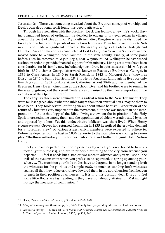Jesus stands". There was something mystical about the Brethren concept of worship, and Deck's own devotional spirit found this deeply attractive.<sup>10</sup>

Through his association with the Brethren, Deck was led into a new life's work. Having abandoned hopes of ordination he decided to engage in lay evangelism in villages around the coast of Devon from Plymouth including Kingston where he disturbed the loyalty to the high church parish of many farm labourers. Then he moved house to Sidmouth, and made a significant impact at the nearby villages of Colyton Raleigh and Otterton. Another mission was conducted at East Coker, near Yeovil in Somerset, and he moved house to Wellington, near Taunton, in the same county. Finally, at some point before 1850 he removed to Wyke Regis, near Weymouth. At Wellington he established a school in order to provide financial support for his ministry. Living costs must have been considerable, for his family now included eight children. In quick succession his wife gave birth in 1837 to James George (afterwards known to Exclusive Brethren as George), in 1839 to Clara Agnes, in 1840 to Sarah Rachel, in 1843 to Margaret Jane (known as Daisy), in 1845 to Fanny Harriet, in 1848 to Henry Augustus (although he lived for only five days) and in 1852 to Alice Anne Catherine. About 1846 another member of the Brethren, Henry Dyer, joined him at the school. Dyer and his brother were to remain in the area long-term, and the Yeovil Conferences organised by them were important in the evolution of the Open Brethren.<sup>11</sup>

The early Brethren were committed to a radical return to the New Testament. They were far less agreed about what the Bible taught than their spiritual heirs imagine them to have been. They took several differing views about infant baptism. Expectation of the return of Christ was very important in the movement, but there was more than one interpretation of the eschatology of the Bible. Irving's views on the inspiration of the Holy Spirit interested some among them, and the appointment of elders was advocated by some and opposed by others. Yet this undoctrinaire biblicism was short-lived. When Henry [= Anthony Norris] Groves had returned from India in 1835 he noticed the growing demand for a "Brethren view" of various issues, which members were expected to adhere to. Before he departed for the East in 1836 he wrote to the man who was coming to exemplify "Brethren orthodoxy", the former Irish curate and brilliant linguist, John Nelson Darby:

I feel you have departed from those principles by which you once hoped to have effected [your purposes], and are in principle returning to the city from whence you departed … I feel it needs but a step or two more to advance and you will see all the evils of the systems from which you profess to be separated, to spring up among yourselves. … The transition your little bodies have undergone, in no longer standing forth the witnesses for the glorious and simple *truth*, so much as standing forth witnesses against all that they judge error, have lowered them in my apprehension from heaven to earth in their position as witnesses. … It is into this position, dear D[arby], I feel some little flocks are fast tending, if they have not already attained it. Making *light* not *life* the measure of communion.<sup>12</sup>

<sup>10</sup> Deck, *Hymns and Sacred Poems*, p 3; Julian, 285–6, 898.

<sup>11</sup> *Chief Men among the Brethren*, pp 38, 64–5; Family tree prepared by Mr Ron Deck of Eastbourne.

<sup>12</sup> Groves to Darby, 10 March 1836, in *Memoir of Anthony Norris Groves containing extracts from his Letters and Journals*, 2 edn., London, 1857, pp 539, 540.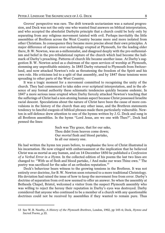Groves' perspective was rare. The drift towards sectarianism was a natural progression, and Deck was not the only one who wanted final answers on biblical interpretation, and who accepted the absolutist Darbyite principle that a church could be holy only by separating from any religious movement tainted with evil. Perhaps inevitably the little assemblies of Brethren across the West Country became more and more isolated from other Christians. In consequence they became more precise about their own principles. A major difference of opinion over eschatology erupted at Plymouth, for the leading elder there, B.W. Newton, was an a-millennialist, and disagreed deeply with the pre-millennialism and belief in the pre-tribulational rapture of the church which had become the hallmark of Darby's preaching. Patterns of church life became another issue. At Darby's suggestion B. W. Newton acted as a chairman of the open services of worship at Plymouth, stemming any unprofitable ministry. In 1845 Darby returned to Plymouth from Switzerland, and now attacked Newton's role as threatening the freedom of the Spirit and his own role. His criticisms led to a split of that assembly, and by 1847 these tensions were spreading to other parts of the West Country.

It was a tragic moment for a movement committed to recognising the unity of the church. They had commenced to take sides over scriptural interpretation, and in the absence of any formal authority these schismatic tendencies quickly became endemic. In 1847 a more serious issue erupted when Darby fiercely attacked Newton's teaching that the sufferings of Christ had a non-atoning human aspect because Christ possessed Israelite racial descent. Speculations about the nature of Christ have been the cause of more convulsions in the history of the church than any other issue, and the Brethren statements tendency to fanciful exegesis of biblical phrases made them particularly vulnerable. Newton in self-defence drew attention to one of the hymns written by J. G. Deck and sung in all Brethren assemblies. In the hymn "Lord Jesus, are we one with Thee?", Deck had penned the lines:

> Such was Thy grace, that for our sake, Thou didst from heaven come down; Our *mortal* flesh and blood partake, In all our misery one.

He had written the hymn ten years before, to emphasise the love of Christ illustrated in his incarnation. He now cringed with embarrassment at the implication that he believed Christ was as mortal as any human, and on 14 December 1850 he published a *Confession of a Verbal Error in a Hymn*. In the collected edition of his poems the last two lines are changed to: "With us of flesh and blood partake, / And make our woes Thine own." The poetry was sacrificed for the sake of an orthodox reputation.<sup>13</sup>

Deck's behaviour bears witness to the growing tensions in the Brethren. It was not entirely over doctrine, for B.W. Newton soon returned to a more traditional Christology. His deviation had raised the issue of how to keep the movement free from error. Darby's doctrine of separation from evil now seemed to offer an answer. So when the assembly at Bethesda Chapel, Bristol, welcomed a visitor from the suspect Plymouth assembly who was willing to reject the heresy their reputation in Darby's eyes was destroyed. Darby considered that anyone who continued to be a member of a church with any questionable doctrines could not be received by assemblies if they wanted to remain pure. Thus

<sup>13</sup> See W. B. Neatby, *A History of the Plymouth Brethren*, London, 1902, pp 145–6; Deck, *Hymns and Sacred Poems*, p 35.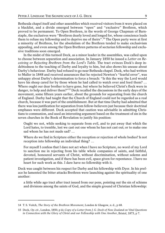Bethesda chapel itself and other assemblies which received visitors from it were placed on a blacklist, and a divide emerged between "open" and "exclusive" Brethren, which proved to be permanent. To Open Brethren, in the words of George Chapman of Barnstaple, the exclusives were "Brethren dearly loved and longed for, whose conscience leads them to refuse my fellowship and to deprive me of theirs".<sup>14</sup> The Open party were at first a minority of Brethren, for the absolutism of the Brethren tended to make exclusivism appealing, and even among the Open Brethren patterns of sectarian fellowship and exclusive traditions soon emerged.

In the midst of this turmoil Deck, as a minor leader in the assemblies, was called upon to choose between separation and association. In January 1850 he issued a *Letter on Receiving or Rejecting Brethren from the Lord's Table*. The tract evinces Deck's deep indebtedness to the teaching of Darby and loyalty to him, but also shows his unease about Darby's behaviour. Darby had refused to go near Bethesda chapel. Deck, who had written to Muller in 1848 and received assurances that he rejected Newton's "fearful error", was unhappy about Darby's determination to force a breach: "Is this the way the Lord would have his sheep cared for by those whom he had called to watch over and feed them? … Where ought our dear brother to have gone, but where he believed Christ's flock were in danger, to help and deliver them?"<sup>15</sup> Deck recalled the discussions in the early days of the movement, some fifteen years earlier, about the grounds for separating from the church of England. Darby had taught that the Church of England could not be regarded as a real church, because it was part of the establishment. But at that time Darby had admitted that there was less justification for separation from fellow-believers just because their doctrinal emphases were different. Deck accepted that caution was advisable in admitting Christians to communion, and used an interesting argument based on the treatment of sin in the seven churches in the Book of Revelation to justify his position:

Ought we not, while seeking to separate from evil, and to put away that which the Lord hates, to tremble, lest we cast out one whom he has not cast out; or to make one sad whom he has not made sad? …

Where do we find in Scripture either the reception or rejection of whole bodies? Is not reception into fellowship an individual thing? …

For myself I confess that I dare not act when I have no Scripture, no word of my Lord to sanction me in rejecting from his table whole companies of saints, and faithful, devoted, honoured servants of Christ, without discrimination, without solemn and patient investigation, and if there has been evil, space given for repentance. I have no heart for such work as this. I dare have no fellowship with it.

Deck was caught between his respect for Darby and his fellowship with Dyer. In his preface he lamented the bitter attacks Brethren were launching against the spirituality of one another:

a little while ago tract after tract issued from our pens, pointing out the sin of schisms and divisions among the saints of God, and the simple ground of Christian fellowship:

<sup>14</sup> T. S. Veitch, *The Story of the Brethren Movement*, London & Glasgow, n. d., p 68.

<sup>15</sup> Deck, *Op. cit.*, London, 1850, p iii; *Copy of a Letter from J.G. Deck of New Zealand on Vital Questions in Connection with the Glory of Christ and our Fellowship with One Another*, Bristol, 1873, p 7.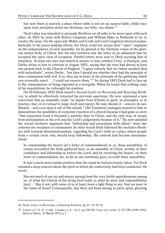but now there is scarcely a place where table is not set up *against* table, while tract upon tract proclaims aloud our divisions, our folly, our shame.<sup>16</sup>

Deck's plea was intended to persuade Brethren on all sides to be more open with each other. In 1851 he went with Robert Chapman and William Hake to Bethesda to try to resolve the issue. On the open side Muller and Craik and Lord Congleton listened sympathetically to his peace-making efforts, but Deck could not accept their "open" emphasis on the independence of each assembly, for he gloried in the Darbyite vision of the glorious united body of Christ. But his own brethren saw the letter as an admission that he accepted the open view of reception. Painful letters were sent to Deck accusing him of treachery. At least one tract was issued in answer to him, entitled *Unity, a Dialogue*, and Darby wrote to him in criticism in August 1851, saying that the tract had driven at least one person back to the Church of England. "I agree entirely that we (when needed) deal with individuals", wrote Darby, "but then I should see whether they had the principle of inter-communion with evil. If so, they are in heart of the principle of the gathering which you avowedly reject. … I could not receive them."<sup>17</sup> So during 1851 Deck had to face up to the consequences of being regarded as a renegade. When he found that nothing came of his negotiations, he rethought his position.

On 16 February 1852 Deck issued a *Second Letter on Receiving and Rejecting Brethren*, in which he effectively retracted his previous assertions. He now expressed a new conviction that an assembly could "so depart from [Christ] in spirit, in principles, or in practice, that *on its refusal to judge itself and repent*, He may disown it – remove its candlestick – and even spue it out of His mouth." Old Testament analogies seemed to him to demonstrate the possibility of corporate rejection of a church because it had gone so awry "that separation from it becomes a positive duty to Christ, and the only way of escape from participation in the evil and the Lord's judgements because of it." He now adopted the crucial exclusive argument that "fellowship and association with others" were one criterion for reception to communion. In other words Deck followed the exclusive Brethren drift towards denominationalism, regarding the Lord's table as a place where people from a certain circle only should keep fellowship. His outlook had become denominational:

In commending the bearer [of a letter of commendation] to us, these assemblies, of course *accredited* the body gathered here, as an assembly of Christ, worthy of their confidence and fellowship as before the Lord; and by receiving the bearer, on their letter of commendation, we, as far as our testimony goes, *accredit* these assemblies.

It was a much more insular position than the stand he had previously taken. Yet Deck retained a deep concern about the spirit in which the controversy had been conducted. He wrote:

Has not much of our sin and misery sprung from the very feeble apprehensions among us, of what the Church of the living God really is; what its unity and responsibilities [are] … Has it not, with some of us at least, been a light thing to say, that we meet in the name of Jesus? Consequently, has there not been among us party spirit, glorying

<sup>16</sup> Deck, *Letter on Receiving or Rejecting Brethren*, pp 11, 14–15, iii.

<sup>17</sup> *Letters of J. N. D.*, 2 edn., London, n. d., vol 1, pp 234–40; *Copy of a Letter*, p 13; CBA 5540 (391): Deck to Darby, 13 March 1873, p 1.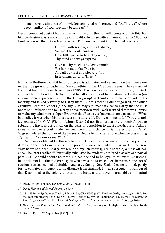in men, over estimation of knowledge compared with grace, and "puffing-up" where deep humility of soul specially became us?<sup>18</sup>

Deck's complaint against his brethren was now only their unwillingness to admit this. For him confession was a mark of true spirituality. In his sensitive hymn written in 1838 "O Lord, when we the path retrace / Which Thou on earth hast trod" he had observed:

> O Lord, with sorrow, and with shame, We meekly would confess, How little we, who bear Thy name, Thy mind and ways express.

Give us Thy meek, Thy lowly mind; We fain would like Thee be; And all our rest and pleasure find In learning, Lord, of Thee. $^{19}$ 

Exclusive Brethren found it hard to make this admission and yet maintain that they were on the true ground of gathering. Yet something in Deck's appeal seems to have touched Darby at least. In the early summer of 1852 Darby wrote somewhat cautiously to Deck and met him in London. Darby offered to call a meeting of humiliation for Brethren (including some representatives of the Open group) in Taunton, and Deck attended this meeting and talked privately to Darby there. But this meeting did not go well, and other exclusive Brethren leaders (especially G.V. Wigram) made it clear to Darby that he must not take humiliation too far. Darby at his interview with Deck insisted that it was unwise to make any admission to Open Brethren that Exclusives had made some mistakes. "What bad policy it was when his forces were all scattered", Darby commented.<sup>20</sup> Darbyite policy, executed by G. V. Wigram (whom Deck did not find particularly attractive), was to rebuild the Exclusive Brethren on the basis of opposition to the Bethesda party. Admissions of weakness could only weaken their moral stance. It is interesting that G. V. Wigram deleted the former of the verses of Deck's hymn cited above when he was editing *Hymns for the Poor of the Flock*. 21

Deck was saddened by the whole affair. His mother was evidently on the point of death and the emotional strains of the previous two years had left their mark on her son. "My heart had been nearly broken, and my [?humours], ere excitable, almost off balance", he later recalled.<sup>22</sup> Spiritually exhausted he evidently suffered a stroke and partial paralysis. He could endure no more. He had decided to be loyal to his exclusive friends, but he did not like the intolerant spirit which was the essence of exclusivism. Some sort of cautious retreat seemed advisable. And so evidently New Zealand came to mind, partly for its climate, and partly for its distance from England. It was subsequently rumoured that Deck "fled to the colony to escape the issue, and to develop assemblies on neutral

<sup>18</sup> Deck, *Op. cit.*, London, 1852, pp 3, 28–9, 30, 36, 15–16.

<sup>19</sup> Deck, *Hymns and Sacred Poems*, pp 43–4.

<sup>20</sup> CBA 5540 (381): Deck to Darby, 1 July 1852; CBA 5540 (367): Deck to Darby, 19 August 1852. For the Taunton meeting see CBA 5540 (369): Deck to Darby, 25 September [1872], pp 1–3; *Letters of J. N. D.*, pp 259–77; see F. R. Coad, *A History of the Brethren Movement*, Exeter, 1968, pp 164–6.

<sup>21</sup> *Hymns for the Poor of the Flock*, London, 1856, no. 230; the story is told slightly inaccurately in Neatby, pp 233–4.

<sup>22</sup> Deck to Darby, 25 September [1872], p 1.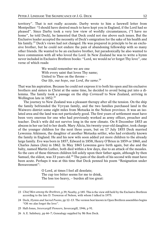territory". That is not really accurate. Darby wrote to him a farewell letter from Montpellier: "I should have desired much to have kept you in England, if the Lord had so pleased". Since Darby took a very low view of worldly circumstances, ("I have no home", he told Deck), he lamented that Deck could not rise above such issues. But the Exclusive leader accepted the necessity of Deck's emigration for the sake of his health and his family.<sup>23</sup> Deck's views had not changed. He was prepared in principle to be an exclusive brother, but he could not endure the pain of abandoning fellowship with so many other friends. He wanted to be an exclusive brother, but paradoxically he also wanted to have communion with all who loved the Lord. In New Zealand he was to write a hymn never included in Exclusive Brethren books: "Lord, we would ne'er forget Thy love", one verse of which reads:

> We would remember we are one With every saint that loves Thy name; United to Thee on the throne – Our *life*, our *hope*, our *Lord*, *the same*. 24

That was his aspiration. Because he could not express it to both his open and his exclusive brothers and sisters in Christ at the same time, he decided to avoid being put into a dilemma. The family took a passage on the ship *Cornwall* to New Zealand, arriving in Wellington late in 1852.<sup>25</sup>

The journey to New Zealand was a pleasant therapy after all the tension. On the ship the family befriended the Vyvyan family, and the two families purchased land in the Waiwero district some eight miles from Motueka in the Nelson province. It was an isolated area and the land was not particularly good. The first years of settlement must have been very onerous for one who had previously worked as army officer, preacher and teacher. Deck's wife did not survive long in the new climate. On 8 December 1853 an abscess in her ear led to her death. Mary Alicia, his twenty-year-old daughter, took charge of the younger children for the next three years, but on 17 July 1855 Deck married Lewenna Atkinson, the daughter of another Motueka settler, who had evidently known the family in England. He and his new wife soon added yet more children to the already large family. Eve was born in 1857, Edward in 1858, Henry O'Brien in 1859 or 1860, and Charles James (Jim) in 1862. In May 1865 Lewenna gave birth again, but she and the baby, named Martin Luther, both died within a few days, due to an attack of the measles. So the care of these thirteen children fell solely upon their father again, although by then Samuel, the eldest, was 33 years old.<sup>26</sup> The pain of the death of his second wife must have been acute. Perhaps it was at this time that Deck penned his poem "Resignation under Bereavement":

> O Lord, at times I feel all desolate; The cup too bitter seems for me to drink, The loss too heavy, – burden all too great:

<sup>23</sup> *Chief Men among the Brethren*, p 39; Neatby, p 185. This is the view still held by the Exclusive Brethren according to the late D. Trewavas of Nelson, with whom I talked in 1975.

<sup>24</sup> Deck, *Hymns and Sacred Poems*, pp 12–13. The version best known in Open Brethren assemblies begins "Oft we alas forget the love".

<sup>25</sup> Hall-Jones, *Invercargill Pioneers*, Invercargill, 1946, p 91.

<sup>26</sup> A. E. Salisbury, pp 66–7; Genealogy supplied by Mr Ron Deck.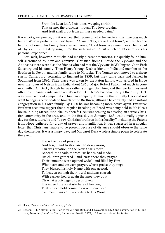From the keen knife I oft-times weeping shrink, That prunes the branches; though Thy love ordains, And fruit shall grow from all these needed pains.<sup>27</sup>

It was not great poetry, but it was heartfelt. Some of what he wrote at this time was much better. What is perhaps his finest hymn, "Around Thy, grave Lord Jesus", written for the baptism of one of his family, has a second verse, "Lord Jesus, we remember / The travail of Thy soul", with a deep insight into the sufferings of Christ which doubtless reflects his personal experience.

For Deck, however, Motueka had mostly pleasant memories. He quickly found himself surrounded by new and convivial Christian friends. Beside the Vyvyans and the Atkinsons there were also the friends who had met the Vyvyans in Wellington, John Park Salisbury and his family. Then Henry Young, Deck's friend in India and member of the Brethren in Devon, and his family came to Motueka. The Youngs soon moved to a sheep run in Canterbury, returning to England in 1859, but they came back and farmed in Southland from 1861. Their place was taken by the Paton family, who arrived in Hope near the town of Nelson from India about 1860. Major Robert Paton had much in common with J. G. Deck, though he was rather younger than him, and the two families used often to exchange visits, and even attended J. G. Deck's birthday party. Obviously Deck was never without sympathetic Christian company. It may be that initially Deck did not want to begin a New Zealand branch of the Brethren, although he certainly had an instant congregation in his own family. By 1860 he was becoming more active again. Exclusive Brethren accounts suggest that a regular Breaking of Bread was being held in Mr Nice's house in King Street, Motueka, by then.<sup>28</sup> Deck was seeking to develop an active Christian community in the area, and on the first day of January 1863, traditionally a picnic day for the settlers, he and "a few Christian brethren in this locality" including the Patons from Hope gathered for a day of prayer and humiliation. It was suggested in a circular letter that Christians unable to be present because of distance should observe the same day themselves. It was a happy day, and Margaret Deck wrote a simple poem to celebrate the event:

It was the day of prayer –

And bright and fresh arose the dewy morn, Fair was creation on the New Year's morn; … Beneath the shade of trees His hands had made, His children gathered – and 'twas there they prayed … Their "mouths were opened wide", and filled by Him Who hears and answers prayer, whose praise they sing: They blessed his holy Name with one accord, To heaven on high their joyful anthems soared: With earnest hearts again the knee they bow – Oh what a privilege by Jesus given! It is indeed the foretaste here of heaven, That we can hold communion with our Lord, Can meet *with Him*, according to His Word.

<sup>27</sup> Deck, *Hymns and Sacred Poems*, p 195.

<sup>28</sup> Beacon Hill, Nelson: Paton Diaries for 2 April 1866 and 1 November 1872 and passim. See P. J. Lineham, *There we found Brethren*, Palmerston North, 1977, p 15 and associated footnotes.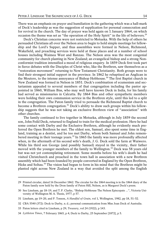There was an emphasis on prayer and humiliation in the gathering which was a hall-mark of Deck's leadership as was the suggestion of supplication for personal consecration and for revival in the church. The day of prayer was held again on 1 January 1864, on which occasion the theme was set as "the operation of the Holy Spirit" in the life of believers.<sup>29</sup>

Deck's Christian concerns were not restricted to Motueka. With the help of others he persuaded Christians all over the Nelson area to begin to hold simple meetings for fellowship and the Lord's Supper, and thus assemblies were formed in Nelson, Richmond, Wakefield, and preaching services were held at these places and at a number of school houses including Waimea West and Ranzau. The Nelson area was the most congenial community for church planting in New Zealand; an evangelical bishop and a strong Nonconformist tradition intensified a mood of religious enquiry. In 1859 Deck first took part in fierce debates with the Disciples of Christ who, like the Brethren, saw themselves as a "restoration movement" returning to New Testament Christianity. Both groups were to find their strongest initial support in the province. In 1862 he rebaptised an Anglican in the Moutere, to the intense annoyance of Bishop Hobhouse.30 The first Baptist church in New Zealand was formed in Nelson in 1851. Deck's combination of ecumenism and sectarianism appealed to several members of that congregation including the pastor appointed in 1860, William Biss, who may well have known Deck in India, for his family had served as missionaries in Calcutta. By 1864 Biss and other sympathetic members were holding their own communion service in the Brethren style, until this led to a split in the congregation. The Paton family tried to persuade the Richmond Baptist church to become a Brethren congregation.<sup>31</sup> Deck's ability to draw such groups within his fellowship suggests that he was not taking an exclusive Brethren view of "association" with other churches.

The family continued to live together in Motueka, although in July 1859 the second son, John Feild Deck, returned to England to train for the medical profession. Here he had some contact with Darby and the Exclusive Brethren, although he evidently much preferred the Open Brethren he met. The eldest son, Samuel, also spent some time in England, training as a dentist, and he too met Darby, whom both Samuel and John remembered meeting in their teenage years.<sup>32</sup> In 1865 the family was more profoundly affected when, in the aftermath of his second wife's death, J. G. Deck sold the farm at Waiwero. While his third son George (and possibly Samuel) stayed in the vicinity, their father moved with the younger members of the family to Wellington.<sup>33</sup> Deck was 58 years old but was not yet contemplating retirement. Some months before his wife's death he had visited Christchurch and preached in the town hall in association with a new Brethren assembly which had been founded by people converted in England by the Open Brethren, Hicks and Soltau.<sup>34</sup> The vision had begun to form in his mind that the Brethren might be planted right across New Zealand in a way that avoided the split among the English

<sup>29</sup> Printed circular, dated 16 December 1862. The circular for the 1864 meeting is in the 1864 diary of the Paton family now held by the Dron family of Paton Hill, Nelson, as is Margaret Deck's poem.

<sup>30</sup> See Lineham, pp 18–19, and T. P. Clarke, "Bishop Hobhouse The Nelson Episcopate ...", Victoria University of Wellington M. A. Thesis, 1977, p 57.

<sup>31</sup> Lineham, pp 19–20, and P. Tonson, *A Handful of Grain*, vol 1, Wellington, 1982, pp 18, 51–52.

<sup>32</sup> CBA 5540 (372): Deck to Darby, n. d.; personal communication from Miss Joan Deck of Australia.

<sup>33</sup> Paton letters cited in Lineham, p 29; *Treasury*, vol 24 (1922), p 143.

<sup>34</sup> *Lyttleton Times*, 7 February 1865, p 4; Deck to Darby, 25 September [1872], p 5.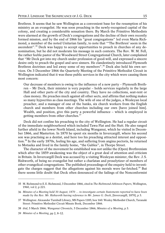Brethren. It seems that he saw Wellington as a convenient base for the resumption of his ministry as an evangelist. He was soon preaching in the newly-recognised capital of the colony, and creating a considerable sensation there. By March the Primitive Methodists were alarmed at the growth of Deck's congregations and the decline of their own recently formed mission, and by the end of 1866 his "great congregations" led even Maria Richmond, a member of the noted Unitarian family, to note that "'The Brethren' seem in the ascendent".<sup>35</sup> Deck was happy to accept opportunities to preach in churches of any denomination, but he did not moderate his message in such contexts. The Rev. W. M. Fell, the rather feeble pastor of the Woodward Street Congregational Church, later complained that "Mr Deck got into my church under profession of good-will, and expressed a sincere desire only to preach the gospel and save sinners. He clandestinely introduced Plymouth Brethren doctrines and led away some of my members".<sup>36</sup> Deck also held his own services. On 3 December 1866 the Quarterly Meeting of the Primitive Methodist Circuit in Wellington indicated that it was these public services in the city which were causing them most concern:

Our decrease of members is owing to the influence of a new party – Plymouth Brethren – Mr Deck, their minister is very popular – holds services regularly in the large Hall and other parts of the city and country. They have no collections, seat-rent or class money. He preaches much against all other sects, and affirms that nothing makes so many hypocrites as class meetings. The wife of one of the judges, a Wesleyan local preacher, and a manager of one of the banks, six church workers from the English church and members from other churches including our own [have joined him]. Wealth, and position, give this party a powerful influence – which is employed in getting members from other churches.37

Deck did not confine his preaching to the city of Wellington. He had a regular circuit of the immediate neighbourhood which included Tawa Flat and the Hutt. He also ranged further afield in the lower North Island, including Wanganui, which he visited in December 1866, and Masterton. In 1870 he spent six months in Invercargill, where his second son was practising as a dentist, and here too his preaching attracted interest and opposition.<sup>38</sup> In the early 1870s, feeling his age, and suffering from angina pectoris, he returned to Motueka and lived in the family home, "the Gables", in Thorpe Street.

The character of the movement he established was not unlike the (Open) Brethrenism which after the 1859 awakening was the object of a great deal of attention and criticism in Britain. In Invercargill Deck was accused by a visiting Wesleyan minister, the Rev. J.S. Rishworth, of being no evangelist but rather a charlatan and proselytizer of members of other evangelical congregations. The published proceedings of the enquiry held to investigate the charges suggest that the allegations against his morals were far-fetched.<sup>39</sup> But there seems little doubt that Deck often denounced of the failings of the Nonconformist

<sup>35</sup> M. Richmond to E.E. Richmond, 3 December 1866, cited in *The Richmond-Atkinson Papers*, Wellington, 1960, vol 2, p 221.

<sup>36</sup> *Minutes of a Meeting held 30 August, 1870 … to investigate certain Statements reported to have been made by the Rev. Mr. Rishworth having reference to Mr. James G. Deck*, [Invercargill, 1870], p 3.

<sup>37</sup> Wellington: Alexander Turnbull Library, MS Papers 1185; box 160: Wesley Methodist Church, Taranaki Street: Primitive Methodist Circuit Minute Book, December 1866.

<sup>38</sup> *ibid*, 5 March 1866; *Wanganui Chronicle*, 5 December 1866; *Minutes of a Meeting*, p 3.

<sup>39</sup> *Minutes of a Meeting*, pp 2, 8–12.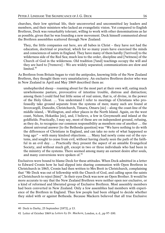churches, their low spiritual life, their unconverted and uncommitted lay leaders and members, and their ministers who lacked an evangelistic vision. Yet compared to English Brethren, Deck was remarkably tolerant, willing to work with other denominations as far as possible, given that he was founding a new movement. Deck himself commented about the Brethren assemblies scattered through New Zealand:

They, the little companies out here, are all babes in Christ – they have not had the education, doctrinal or practical, which for so many years have exercised the minds and consciences of saints in England. They have many of them hardly [?arrived] to the wilderness side of the Red Sea; much less to the order, discipline and [?witness] of the Church of God in the wilderness. Old tradition [?and] teachings occupy the will and they are hard to [?remove] – We are widely separated; communications are slow and limited.<sup>40</sup>

As Brethren from Britain began to visit the antipodes, knowing little of the New Zealand Brethren, they thought them very unsatisfactory. An exclusive Brethren doctor who was in New Zealand in April and May 1869 described them as:

unshepherded sheep – roaming about for the most part at their own will, eating much unwholesome pasture, provocative of intestine trouble, distress and distraction; among them I could find but little sense of real union, that is, of divine, in the power of the Holy Ghost. … You understand I refer to meetings of Christians who professedly take ground separate from the systems of men; many such are found at Invercargill, Dunedin, Christchurch, Timaru, Omaru [sic] – along the coast-line of the middle island, – Wellington, and other places in the North Island. Again, on the west coast, Nelson, Hokatika [sic], and, I believe, a few in Greymouth and inland at the goldfields. Practically, I may say, most of these are on independent ground, refusing, as they do, to recognize our common responsibility as members one of another … the almost universal answer [to the Bethesda question] was "We have nothing to do with the differences of Christians in England, and can take no note of what happened so long ago" – with many kindred objections. … Many had newly come out of the systems, and sought to cease from evil, without having clearly seen the path of the faithful in an evil day. … Practically they present the aspect of an amiable Evangelical Society, and without much gift, except in two or three individuals who had been in the ministry of the systems. There seemed among many an earnest desire after souls, and many conversions were spoken of.<sup>41</sup>

Exclusives were bound to blame Deck for these attitudes. When Deck admitted in a letter to Edward Cronin how he had slipped into sharing communion with Open Brethren in Christchurch in 1865, Cronin had then written to Mrs Brett in Christchurch, complaining that "Mr Deck was out of fellowship with the Church of God, and calling upon the saints at Christchurch to reject [him]". In their eyes Deck was now an Open Brother. It would be more accurate to say that the New Zealand Brethren were neither open nor exclusive, or a kind of reformed and liberated group of Exclusive Brethren. Most assembly members had been converted in New Zealand. Only a few assemblies had members with experience of the Brethren in England. Thus few people had been obliged to decide whether they sided with or against Bethesda. Because Mackern believed that all true Exclusive

<sup>40</sup> Deck to Darby, 25 September [1872], p 13.

<sup>41</sup> Letter of October 1869 in *Letters by Dr. Mackern*, London, n. d., pp 97–100.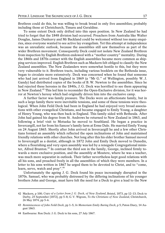Brethren could do this, he was willing to break bread in only five assemblies; probably including those at Christchurch, Timaru and Geraldine.

To some extent Deck only drifted into this open position. In New Zealand he had tried to forget that the 1848 division had occurred. Preachers from Australia like Walter Douglas, James Dunleavy and Mr Backland could be welcomed without too many enquiries, since everyone wanted to see active lay evangelism. Yet this attempt at independence was an unrealistic outlook, because the assemblies still saw themselves as part of the wider Brethren movement. Consequently Deck could not isolate New Zealand Brethren from inspection by English Brethren endowed with a "mother country" mentality. During the 1860s and 1870s contact with the English assemblies became more common as shipping services improved. English Brethren such as Mackern felt obliged to classify the New Zealand assemblies. The New Zealanders were somewhat hostile to this, but they were very vulnerable to it. Brethren tracts, including various booklets on the Bethesda issue, began to circulate more extensively. Deck was concerned when he found that someone who had just arrived from England in 1869 (a "Mr G." of Wellington, possibly W. J. Gandy) had distributed copies of the books of B. W. Newton to the assemblies. Since he had rejected these heresies in the 1840s, J. G. Deck was horrified to see them appearing in New Zealand.<sup>42</sup> This led him to reconsider the Open-Exclusive division, for it was horror at Newton's heresy which had originally driven him into the exclusive camp.

A further factor was family pressure. The Decks were an affectionate family, but in such a large family there were inevitable tensions, and some of these tensions were theological. When John Feild Deck had been in England he had enjoyed very broad associations with other evangelical Christians, and became engaged to Emily Young, a daughter of Henry Young, who was then back in England. This family sided with Bethesda. After John had gained his degree from St. Andrews he returned to New Zealand in 1863, and following a brief visit to Motueka he moved to Southland. He began a practice in Invercargill, not far from his fiancee's family farm at Erme Dale. He married Emily Young on 24 August 1865. Shortly after John arrived in Invercargill he and a few other Christians formed an assembly which reflected the open inclinations of John and maintained friendly relations with other churches. Not long after this his elder brother Samuel moved to Invercargill as a dentist, although in 1872 John and Emily Deck moved to Dunedin, where a flourishing and very open assembly was led by a renegade Congregational minister, Alfred Brunton.<sup>43</sup> In contrast the third son in the family, George, inclined firmly towards a more exclusive position, and the assembly at Moutere, where he was a teacher, was much more separatist in outlook. Their father nevertheless kept good relations with all his sons, and preached freely in all the assemblies of which they were members. In a letter to his sons written in 1867 he urged them to be devoted to Christ, and to "come, learn, serve, watch and pray".<sup>44</sup>

Unfortunately the ageing J. G. Deck found his peace increasingly disrupted in the 1870s. Samuel, who was probably distressed by the differing inclinations of his younger brothers John and George, must have felt the need for a Deck to give a lead to the New

<sup>42</sup> Mackern, p 100; *Copy of a Letter from J. G. Deck, of New Zealand*, Bristol, 1873, pp 12–13; Deck to Darby, 25 September [1872], pp 5–8; G. V. Wigram, *To the Christians of New Zealand*, Christchurch, 26 May 1874, pp 5–6.

<sup>43</sup> *Reminiscences of John Feild Deck*, pp 1–5; *In Memoriam Emily Baring Deck*, p 5; Paton Diary, 14 August 1863.

<sup>44</sup> Eastbourne: Ron Deck: J. G. Deck to his sons, 27 July 1867.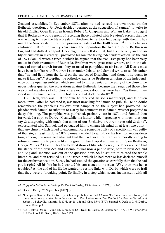Zealand assemblies. In September 1871, after he had re-read his own tracts on the Bethesda question, J. G. Deck decided (perhaps at the suggestion of Samuel) to write to his old English Open Brethren friends Robert C. Chapman and William Hake, to suggest that if Bethesda would repent of receiving those polluted with Newton's errors, then he was willing to urge the New Zealand Brethren to restore fellowship with them. Thus might the New Zealand Brethren pioneer a healing of the 1848 breach.<sup>45</sup> In reply he was cautioned that in the twenty years since the separation the two groups of Brethren in England had drifted far apart. Deck might have left it at that, but his inactivity and possibly discussions in Invercargill provoked his son into taking independent action. At the end of 1871 Samuel wrote a tract in which he argued that the exclusive party had been very unjust in their treatment of Bethesda. Brethren were great tract writers, and in the absence of formal church forums they resorted to pamphlets to air issues. All Decks must have been familiar with Brethren issues under debate, and Samuel wrote to tell his father that "he had light from the Lord on the subject of Discipline, and thought he ought to make it known".46 Accepting the orthodox exclusive Brethren criticism of the independency of the open assemblies, which seemed to him a denial of the unity of the church, he nevertheless queried the accusations against Bethesda, because they regarded those who welcomed members of churches where erroneous doctrines were held: "as though they stood in the same place with the holders of evil doctrine itself".47

J. G. Deck, who was ill at the time he received his son's manuscript, and felt even more unwell after he had read it, was most unwilling for Samuel to publish. He no doubt remembered the problems his own first pamphlet on the subject had provoked. He pleaded with Samuel to submit it to Darby for comment first. Samuel was not prepared to delay this long. The pamphlet was published, probably late in 1871, and Samuel then forwarded a copy to Darby. Meanwhile his father, while "agreeing with much that you say & disagreeing with much that some of our Exclusive brethren have said & done", expostulated with Samuel, and persuaded him to change his mind on at least one point – that any church which failed to excommunicate someone guilty of a specific sin was guilty of that sin, at least. In June 1872 Samuel decided to withdraw his tract for reconsideration, although he remained adamant that the Exclusive Brethren were morally wrong to refuse communion to people like the great philanthropist and leader of Open Brethren, George Muller.<sup>48</sup> Grateful for this belated show of filial obedience, his father realised that the stance of the New Zealand assemblies was now a public issue, both in New Zealand and England. Inaction was out of the question now. So he set out to re-read the whole literature, and then reissued his 1852 tract in which he had more or less declared himself for the exclusive position. Surely he had studied the question so carefully then that he had got it right? All his life he had wanted his conscience to be clear. Why then was he so troubled? At the end of his life he wanted to restore links with Darby which were so frail that they were at breaking point. So finally, in a step which seems inconsistent with all

<sup>45</sup> *Copy of a Letter from Deck*, p 13; Deck to Darby, 25 September [1872], pp 4–6.

<sup>46</sup> Deck to Darby, 25 September [1872], p 8.

<sup>47</sup> No copy of Samuel Deck's tract (which was probably entitled *Church Discipline*) has been found, but these quotations are taken from the excerpts in *Two Letters from New Zealand for the consideration of Saints ...*, Belleville, Ontario, [1879], pp 13–14; and CBA 5540 (370): Samuel J. Deck to J. N. Darby, 3 June 1872, p 3.

<sup>48</sup> S. J. Deck to Darby, 3 June 1872, pp 3, 5; J. G. Deck to Darby, 25 September [1872], p 9; Letter 390: S. J. Deck to J. G. Deck, 18 October 1872.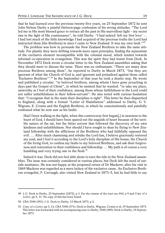that he had learned over the previous twenty-five years, on 25 September 1872 he sent John Nelson Darby a painful thirteen-page confession of his wrong attitudes. "The Lord led me in His most blessed grace to retrace all the past in His marvellous light – my secret sins in the light of His countenance", he told Darby. "I had indeed 'left my first love' … I had lost much of the little knowledge I had acquired of the precious truths the Lord had instructed them [the Brethren] in since I came to New Zealand. It was my own fault."<sup>49</sup>

The problem was how to persuade the New Zealand Brethren to take the same attitude. For plainly they were drifting towards more open principles, finding the separatism of the exclusive element incompatible with the colonial mood, which tended towards informal co-operation in evangelism. This was the spirit they had learnt from Deck. In November 1872 Deck wrote a circular letter to the New Zealand assemblies asking that they should meet to discuss the issue. There was no enthusiasm. "There are many dear precious Brethren among them", he reported to Darby in March 1873, "but they are ignorant of what the Church of God is, and ignorant and prejudiced against those called Exclusive Brethren'".<sup>50</sup> In the September of that year he took a drastic step. He wrote and published a circular: "to beloved brethren, among whom I have gone preaching in days past the Gospel of Christ", in which he insisted that he wanted: "to take my place, unworthy as I feel of their confidence, among those whose faithfulness to the Lord could not suffer unfaithfulness in their fellow-servant". He also noted with curious hesitation that: "I recognise that in the main their discipline is right". This letter he then dispatched to England, along with a formal "Letter of Humiliation" addressed to Darby, G. V. Wigram, E. Cronin and the English Brethren, in which he conscientiously and painfully confessed what he now saw as his faults:

Had I been walking in the light, when this controversy first began[,] in nearness to the heart of God, I should have been spared not the anguish of heart because of the terrible nature of the sin, but the bitter sorrow that followed the discovery of my own kindness and unfaithfulness. Nor should I have sought to shun by flying to New Zealand fellowship with the afflictions of the Brethren who had faithfully opposed the evil. … After much chastening and rebuke the Lord has, I believe graciously restored my soul; and I feel it according to the Lord's holy discipline of His house, the Church of the living God, to confess my faults to my beloved Brethren, and ask their forgiveness and restoration to their confidence and fellowship. … My path is of course a very humbling and very trying one to the flesh.<sup>51</sup>

Indeed it was. Deck did not feel able alone to turn the tide in the New Zealand assemblies. The issue was certainly considered in various places, but Deck felt the need of outside assistance. He was not happy at the proposed return of Dr Mackern; after his visit in 1869 Mackern was regarded as a mere lackey of the exclusive cause. An Exclusive Brethren evangelist, F. Carruagh, also visited New Zealand in 1873–5, but he had little to say

<sup>49</sup> J. G. Deck to Darby, 25 September [1872], p 3. For the reissue of the tract see *ibid*, p 9 and *Copy of a Letter*, pp 9, 11. No copy of this has been found.

<sup>50</sup> CBA 5540 (391): J. G. Deck to Darby, 13 March 1873, p 2.

<sup>51</sup> *Copy of a Letter*, pp 3, 11; CBA 5540 (371): Deck to Darby, Wigram, Cronin et al, 19 September 1873. This letter was forwarded with an accompanying note to Darby, 5540 (389): Deck to Darby, 19 September 1873.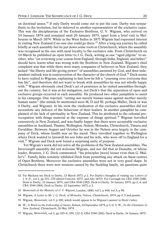on doctrinal issues.<sup>52</sup> If only Darby would come out to put the case. Darby was sympathetic to the invitation, but he deferred to another representative of the exclusive cause. This was the disciplinarian of the Exclusive Brethren, G. V. Wigram, who arrived on 14 January 1874 and remained until 20 January 1875, apart from a brief visit to Melbourne in March 1874. While in the West Indies in 1871 Wigram had expressed interest in visiting New Zealand if no-one else could go there.<sup>53</sup> After a long sea journey he called briefly at each assembly but he put down some roots in Christchurch, where the assembly was recognised as the one with most loyalty to the exclusive side. From Christchurch on 14 March he published an open letter to J. G. Deck, writing as one "aged pilgrim" to another, who "on reviewing your course from England, through India, England, and hither" should have learnt what was wrong with the Brethren in New Zealand. Wigram's chief complaint was that while there were many companies of believers in New Zealand, they lacked "the liberty and life-giving power" of assemblies anointed by God, and their independent outlook was in contravention of the character of the church of God.<sup>54</sup> Deck seems to have replied to Wigram, explaining to him how he felt a "yearning over everyone that has life", and therefore did not want to break with assemblies he was not wholly happy with.<sup>55</sup> Wigram obviously cited Deck's act of penitence as he visited assemblies throughout the country, but it was at his instigation, not Deck's that the separation of open and exclusive groups occurred in each assembly. He produced two other pamphlets to assist in his campaign. One rejected: "setting one merely human name against another merely human name" (the initials he mentioned were M, D and W; perhaps Muller, Deck or was it Darby, and Wigram). In his view the vindication of the exclusive assemblies did not necessitate any defence of the behaviour of their leaders. In another pamphlet he complained of the lack of spirituality in New Zealand. This he attributed to the colonial preoccupation with things material at the expense of things spiritual.<sup>56</sup> Wigram travelled extensively in New Zealand, and was finally happy that there were acceptable exclusive assemblies in Auckland, Thames, Wellington, Nelson, Motueka, Christchurch, Timaru and Geraldine. Between August and October he was in the Nelson area largely in the company of Deck, whose health was on the mend. They travelled together to Wellington where Deck wanted to farewell his son John and his wife, who were off to England for a visit.<sup>57</sup> Wigram and Deck now found a surprising unity of purpose.

Yet Wigram's work did not solve all the problems of the New Zealand assemblies. The Invercargill assembly did not welcome Wigram, and nor did that at Dunedin, of whose leader, Brunton, J. G. Deck commented: "his principles [were] looser even than G. Muller's". Family links certainly inhibited Deck from permitting any attack on these centres of Open Brethren. Moreover the exclusive assemblies were not in very good shape. In Christchurch there were new tensions caused by the Suckling family, on questions quite

<sup>52</sup> For Mackern see Deck to Darby, 13 March 1873, p 2. For Darby's thoughts of visiting see *Letters of J. N. D.*, vol 2, pp 251, 278 (dated Concord, 1873, and July 1873). For Carruagh see CBA 5540 (388): Deck to Darby, 15 January 1874, and CBA 5540 (382): Deck to Darby, 16 January 1875, pp 2, 4; and CBA 5540 (384): Deck to Darby, 22 September 1875, p 3.

<sup>53</sup> *Memorials of the Ministry of G. V. Wigram*, London, 1880; vol 1, p 444; vol 3, p 98.

<sup>54</sup> Wigram, *A Letter to Mr. J. G. Deck, of Motueka, Nelson*, Christchurch, 1874, pp 3, 5 and passim.

<sup>55</sup> Wigram, *Memorials*, vol 3, p 100, which would appear to be Wigram's answer to Deck's letter.

<sup>56</sup> W., *A Word on the Fellowship of Saints*, Nelson, 24 September 1874, p 3; G.V.W., *To the Christians of New Zealand*, Christchurch, 26 May 1874.

<sup>57</sup> Wigram, *Memorials*, vol 3, pp 103–4, 109, 112–5; CBA 5540 (382): Deck to Darby, 16 January 1875.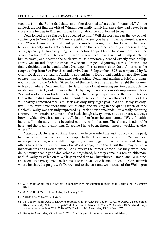separate from the Bethesda debate, and other doctrinal debates also threatened.<sup>58</sup> Above all Deck did not find the visit of Wigram personally satisfying, since they had never been close while he was in England. It was Darby whom he now longed to see.

Deck longed to see Darby. He appealed to him: "Will the Lord give us the joy of welcoming you to New Zealand? Many are asking to see you here".<sup>59</sup> Darby himself was not sure. "Were I young, I should think pretty surely of going there, but I shall be half way between seventy and eighty before I start for that country, and a year then is a long while, specially if I have anything to finish before I depart home to be no more seen", he wrote to a friend.<sup>60</sup> But Deck was the more urgent because angina made it impossible for him to travel, and because the exclusive cause desperately needed exactly such a fillip. Darby was an indefatigable traveller who made repeated journeys across America. He finally decided that he would take advantage of his current visit to North America, so he caught a ship from San Francisco and arrived on 15 September 1875, accompanied by R. Grant. Deck wrote ahead to Auckland apologising to Darby that health did not allow him to meet him in Auckland. But, after telegraphing Deck, and making a brief and unannounced visit to the Cobden Street hall of the Exclusive Brethren, he caught the steamer to Nelson, where Deck met him. No description of that meeting survives, although the excitement of Deck, and his desire that Darby might have a favourable impression of New Zealand is obvious in his letters to Darby. One may perhaps imagine the encounter between the balding and snowy-white-bearded Deck and the clean-shaven Darby with his still sharply-contoured face. Yet Deck was only sixty-eight years old and Darby seventyfive. They must have spent time reminiscing, and walking in the quiet garden of "the Gables". Darby was certainly impressed by Deck's new homeland: "It is a really charming country … mountains and bush – the bush though always fine, not as our trees, always brown, which gives it a sombre hue". In another letter he commented: "Were I healthhunting, I might stay in this beautiful country with pleasure. The climate is admirable here, and the locality charming. Of course I have been, through mercy, working as elsewhere."<sup>61</sup>

Naturally Darby was working. Deck may have wanted the visit to focus on the past, but Darby had come to check up on people. In the Nelson area, he reported "all are clear unless perhaps one, who is still not against, but really getting his soul exercised, feeling others have gone on without him – the Word is enjoyed so that I trust there may be blessing for all outside as well as inside – At Motueka the farmers come out as they [were] here dour, having been a good deal asleep & prejudiced, but they come in a remarkable manner".<sup>62</sup> Darby travelled on to Wellington and then to Christchurch, Timaru and Geraldine, and seems to have spurred Deck himself to more activity; he made a visit to Christchurch where he shared a pulpit with Darby, and to the east and west coasts of the Wellington

- 59 CBA 5540 (382): Deck to Darby, 16 January 1875.
- 60 *Letters of J. N. D*., vol 2, p 327.

<sup>58</sup> CBA 5540 (388): Deck to Darby, 15 January 1874 (uncompleted) enclosed in Deck to [?], 15 January 1874.

<sup>61</sup> CBA 5540 (383): Deck to Darby, 6 September 1875; CBA 5540 (384): Deck to Darby, 22 September 1875; *Letters of J.N.D*., vol 2, pp 427, 430 (letters of October 1875 and 25 October 1875). An MS copy of the latter letter is at CBA 5540 (417): Darby to Mr Alexander, 25 October 1875.

<sup>62</sup> Darby to Alexander, 25 October 1875, p 2. (This part of the letter was not published.)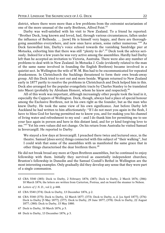district, where there were more than a few problems from the extremist sectarianism of one of the more unusual of the early Brethren, Alfred Feist.<sup>63</sup>

Darby was well-satisfied with his visit to New Zealand. To a friend he reported: "Brother Deck, long known and loved, had, through various circumstances, fallen under the influence of Bethesda. … [now] He is himself very happy, and there are thoroughgoing assemblies everywhere, and new ones have arisen, some rather numerous."<sup>64</sup> As Deck farewelled him, Darby's voice echoed towards the vanishing Sandridge pier at Motueka, exhorting him that there was still "plenty to do".<sup>65</sup> Deck took the advice seriously. Indeed for a few years he was very active among the assemblies. Hardly had Darby left than he accepted an invitation to Victoria, Australia. There were also any number of problems to deal with in New Zealand. In Motueka J. Code (evidently related to the man of the same name involved in founding the English Brethren) became involved in a quietist sect. In Wellington the wife of W.M. Biss had to be excommunicated for repeated drunkenness. In Christchurch the Sucklings threatened to form their own break-away group. All this Deck tried to sort out and more beside. Wigram returned to New Zealand early in 1877 partly to resolve the problems in Christchurch and Deck helped him in this. Deck also arranged for the popular evangelistic tracts by Charles Stanley to be translated into Maori (probably by Abraham Honoré, whom he knew and respected).<sup>66</sup>

All of this work was important, although increasingly other people took the lead in it, especially the Cappers of Wellington. Deck, though, always had a place of special honour among the Exclusive Brethren, not in his own right as the founder, but as the man who knew Darby. He took the same view of his own significance. Just before Darby left Auckland he had written to him affectionately: "If I do not meet you again in the flesh, I have to bless God for having permitted me to know you, and for making you his channel of living water and refreshment to my soul – and I do thank him for permitting me to see your face again in person and here in this distant land, and for yr kind forgiving love to me."<sup>67</sup> Yet his own values did not change. On his return from Australia he visited Samuel in Invercargill. He reported to Darby:

We stayed a few days at Invercargill. I preached there twice and lectured once, in the theatre. Samuel [does sorry] things connected with this subject of "their walking", but I could wish that some of the assemblies with us manifested the same grace that in other things characterised the dear brethren there.<sup>68</sup>

He did not break bread any more at Open Brethren assemblies, but he continued to enjoy fellowship with them. Initially they survived as essentially independent churches; Brunton's fellowship in Dunedin and the Samuel Costall's Bethel in Wellington are the most interesting examples. Only gradually did they develop any sense that they were part of a single communion.

<sup>63</sup> CBA 5540 (385): Deck to Darby, 2 February 1876; (387): Deck to Darby, 2 March 1876; (386): 10 March 1876; the letters are written from Carterton, Porirua, and on board the steamer to Nelson.

<sup>64</sup> *Letters of J. N. D*., vol 2, p 448.

<sup>65</sup> CBA 5540 (374): Deck to Darby, 13 December 1876, p 2.

<sup>66</sup> CBA 5540 (375): Deck to Darby, 12 March 1877; (373): Deck to Darby, n. d. [ca April 1877]; (376): Deck to Darby [5 May 1877]; (377): Deck to Darby, 29 June 1877; (378): Deck to Darby, 22 August 1877; (380): Deck to Darby, 15 May 1880.

<sup>67</sup> Deck to Darby, 10 March 1876, p 5.

<sup>68</sup> Deck to Darby, 13 December 1876, p 3.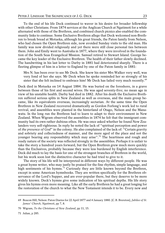To the end of his life Deck continued to waver in his desire for broader fellowship with other Christians. From 1874 services at the Anglican Church at Ngatimoti for a while alternated with those of the Brethren, and combined church picnics also enabled the community links to continue. Some Exclusive Brethren allege that Deck welcomed non-Brethren to break bread at Motueka, although his great friends, the Paton family from Nelson, who had chosen the Open Brethren side, now avoided Sunday visits to the old man. His family was now divided religiously and yet there were still close personal ties between them. John and Emily went to Australia in 1877, where they were involved in the foundation of the South Seas Evangelical Mission. Samuel retired to Stewart Island. George became the key leader of the Exclusive Brethren. The health of their father slowly declined. The handwriting in his last letter to Darby in 1881 had deteriorated sharply. There is a fleeting glimpse of him in a letter to England by one of the Paton family in 1881:

Mrs N. has been over to see Mr Deck. She knew his sister Mrs Walker very well, was very fond of her she says. Mr Deck when he spoke reminded her so strongly of his sister that she felt inclined to embrace him! Mr Deck has failed very much recently.<sup>69</sup>

Deck died in Motueka on 14 August 1884. He was buried on the foreshore, in a grave between those of his first and second wives. He was aged seventy-five; no mean age in view of his unstable health. Darby had died in 1882. After his death the Exclusive Brethren suffered serious splits in New Zealand as well as overseas, and the main group became, like its equivalents overseas, increasingly sectarian. At the same time the Open Brethren in New Zealand recovered dramatically as Gordon Forlong's work led to rural revival, and assemblies were planted in the hinterland of Otago, Nelson and the Manawatu. In the long run the Brethren had to learn to adapt to their environment in New Zealand. When Wigram observed the assemblies in 1874 he felt that the immigrant community had its own rather dubious ethos. He was once asked whether he found New Zealanders very self-righteous. In reply he noted the lack of "spiritual perception and power of *the presence of God*" in the colony. He also complained of the lack of: "Certain gravity and sobriety and collectedness of manner, and the more aged of the place and not the younger bearing any responsibility which may arise".<sup>70</sup> The heartiness and rough and ready nature of the society was reflected strongly in the assemblies. Perhaps it is unfair to take the story a hundred years forward, but the Open Brethren grew much more quickly than the Exclusives, probably because they were less burdened by English interference. Deck did much to lay the basis for one of the strongest branches of Brethren in the world, but his work soon lost the distinctive character he had tried to give to it.

The story of his life will be interpreted in different ways by different people. He was a great hymn writer, who may justly be praised for the fine rhythm, simple language, and high sentiments of his hymns.<sup>71</sup> Curiously they are little known beyond the Brethren, except in some American hymnbooks. They are written specifically for the Brethren observance of the Lord's Supper, and are ever-popular there, but they deserve to be more widely known. Deck's hymns give some indication of his spiritual depths. His life story gives his hymns even more meaning. Like all the early Brethren he had a great longing for the restoration of the church to what the New Testament intends it to be. Every new and

71 Julian, p 285.

<sup>69</sup> Beacon Hill, Nelson: Paton Diaries for 22 April 1877 and 4 January 1880. [C.B. Brereton], *Jubilee of St. James' Church, Ngatimoti*, pp 7, 8.

<sup>70</sup> Wigram, *To the Christians of New Zealand*, pp 11, 15.